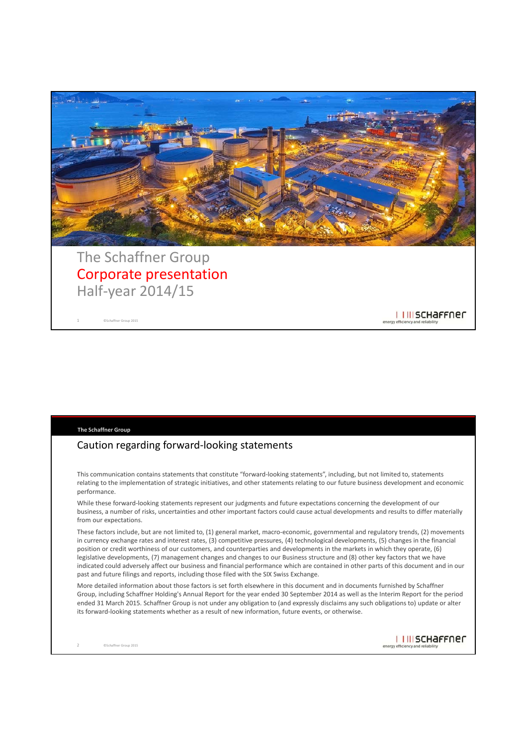

# Corporate presentation Half‐year 2014/15

©Schaffner Group 2015 1

**The Schaffner Group**

### Caution regarding forward‐looking statements

This communication contains statements that constitute "forward-looking statements", including, but not limited to, statements relating to the implementation of strategic initiatives, and other statements relating to our future business development and economic performance.

While these forward‐looking statements represent our judgments and future expectations concerning the development of our business, a number of risks, uncertainties and other important factors could cause actual developments and results to differ materially from our expectations.

These factors include, but are not limited to, (1) general market, macro-economic, governmental and regulatory trends, (2) movements in currency exchange rates and interest rates, (3) competitive pressures, (4) technological developments, (5) changes in the financial position or credit worthiness of our customers, and counterparties and developments in the markets in which they operate, (6) legislative developments, (7) management changes and changes to our Business structure and (8) other key factors that we have indicated could adversely affect our business and financial performance which are contained in other parts of this document and in our past and future filings and reports, including those filed with the SIX Swiss Exchange.

More detailed information about those factors is set forth elsewhere in this document and in documents furnished by Schaffner Group, including Schaffner Holding's Annual Report for the year ended 30 September 2014 as well as the Interim Report for the period ended 31 March 2015. Schaffner Group is not under any obligation to (and expressly disclaims any such obligations to) update or alter its forward-looking statements whether as a result of new information, future events, or otherwise.

I I III SCHAFFNEN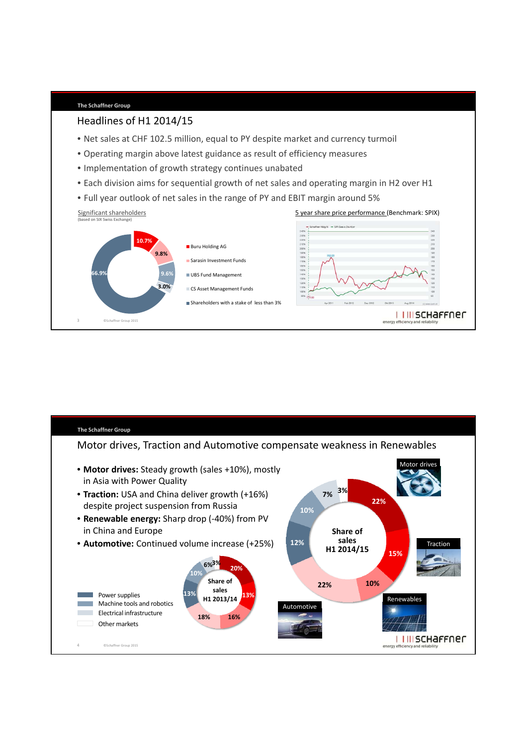

**The Schaffner Group**

Headlines of H1 2014/15

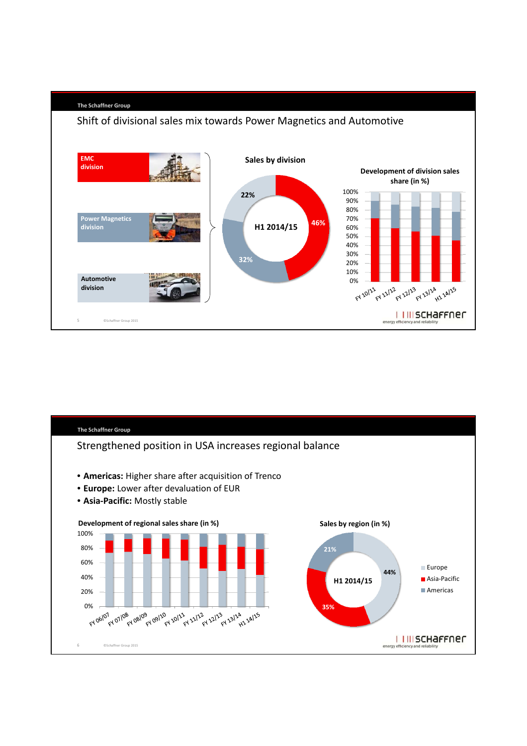

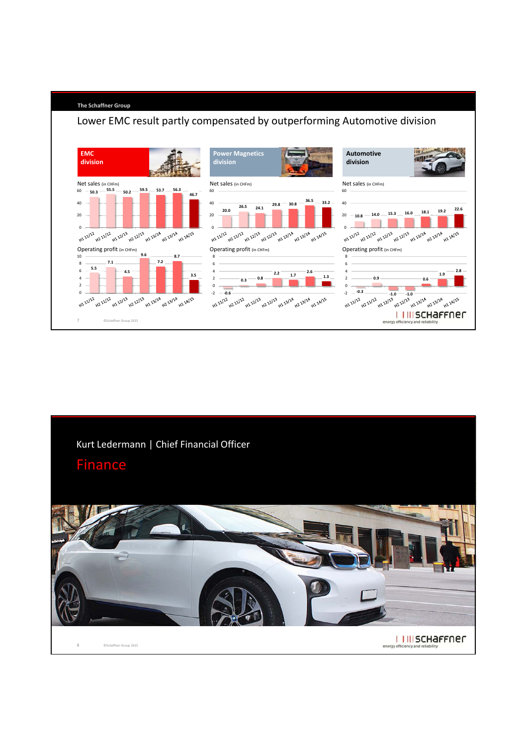

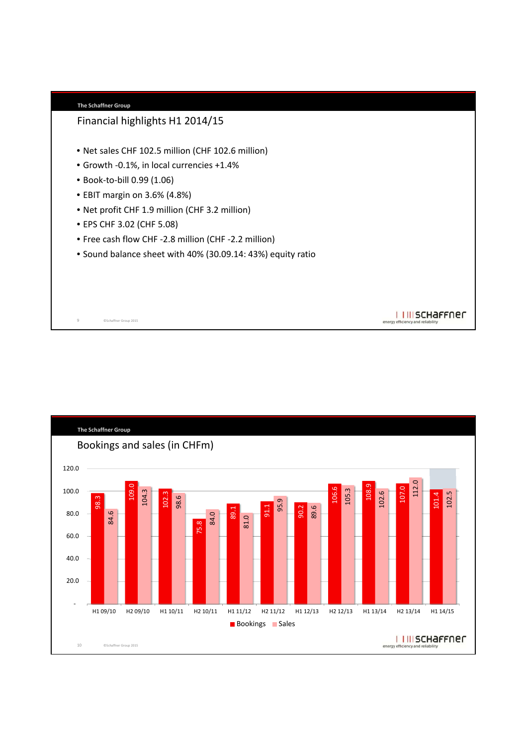

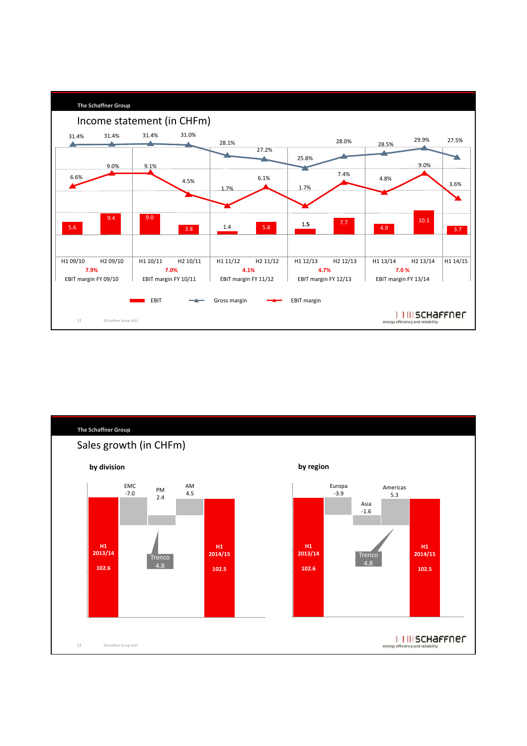

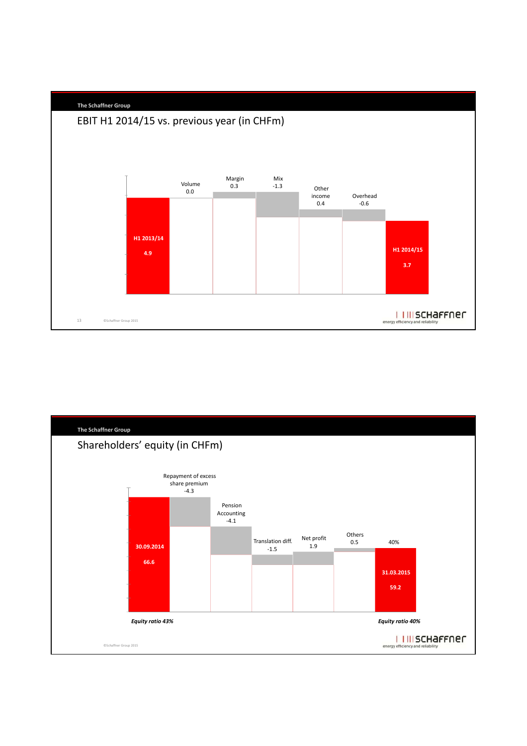

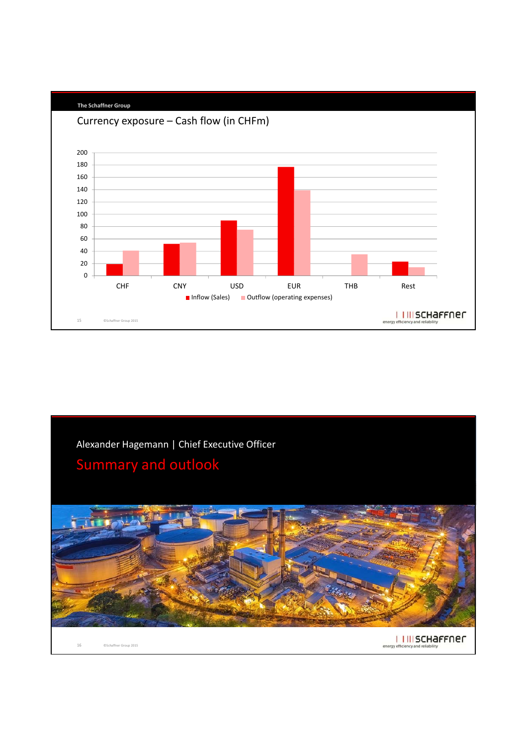

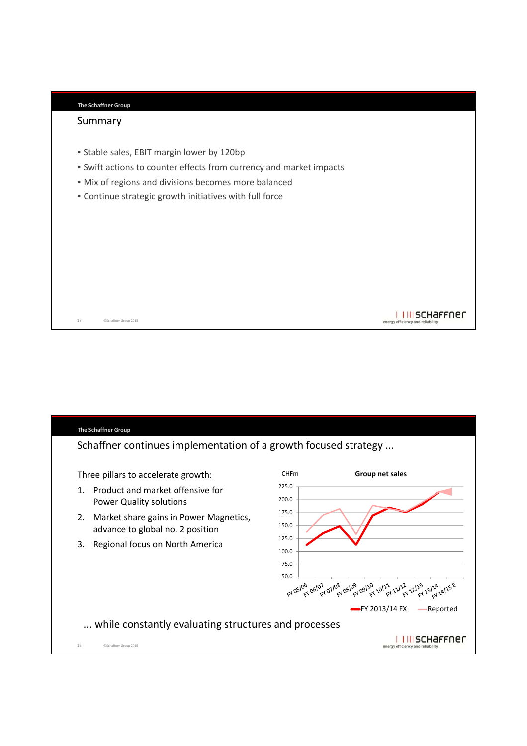| <b>The Schaffner Group</b> |  |
|----------------------------|--|
|                            |  |

#### Summary

- Stable sales, EBIT margin lower by 120bp
- Swift actions to counter effects from currency and market impacts
- Mix of regions and divisions becomes more balanced
- Continue strategic growth initiatives with full force

©Schaffner Group 2015 17

### **The Schaffner Group** Schaffner continues implementation of a growth focused strategy ... Three pillars to accelerate growth: CHFm **Group net sales** 225.0 1. Product and market offensive for 200.0 Power Quality solutions 175.0 2. Market share gains in Power Magnetics, 150.0 advance to global no. 2 position 125.0 3. Regional focus on North America 100.0 75.0 50.0 84 05/06 06/07 07/08 08/09 09/20 20/22 22/23 22/23 23/24 24/25 6 FY 2013/14 FX - Reported ... while constantly evaluating structures and processesI I III SCHAFFNEN 18 ©Schaffner Group 2015

I I III SCHAFFNEN